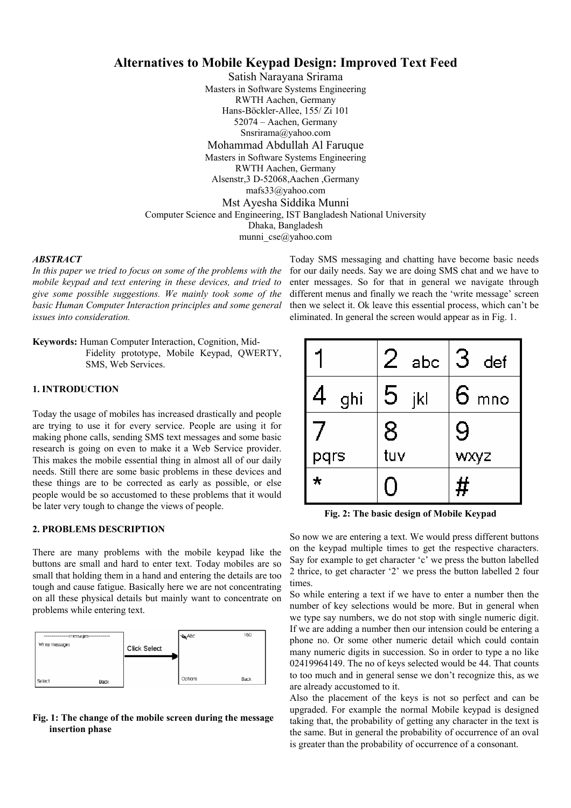# **Alternatives to Mobile Keypad Design: Improved Text Feed**

Satish Narayana Srirama Masters in Software Systems Engineering RWTH Aachen, Germany Hans-Böckler-Allee, 155/ Zi 101 52074 – Aachen, Germany Snsrirama@yahoo.com Mohammad Abdullah Al Faruque Masters in Software Systems Engineering RWTH Aachen, Germany Alsenstr,3 D-52068,Aachen ,Germany mafs33@yahoo.com Mst Ayesha Siddika Munni Computer Science and Engineering, IST Bangladesh National University Dhaka, Bangladesh munni cse@yahoo.com

### *ABSTRACT*

*In this paper we tried to focus on some of the problems with the mobile keypad and text entering in these devices, and tried to give some possible suggestions. We mainly took some of the basic Human Computer Interaction principles and some general issues into consideration.* 

**Keywords:** Human Computer Interaction, Cognition, Mid-Fidelity prototype, Mobile Keypad, QWERTY, SMS, Web Services.

## **1. INTRODUCTION**

Today the usage of mobiles has increased drastically and people are trying to use it for every service. People are using it for making phone calls, sending SMS text messages and some basic research is going on even to make it a Web Service provider. This makes the mobile essential thing in almost all of our daily needs. Still there are some basic problems in these devices and these things are to be corrected as early as possible, or else people would be so accustomed to these problems that it would be later very tough to change the views of people.

### **2. PROBLEMS DESCRIPTION**

There are many problems with the mobile keypad like the buttons are small and hard to enter text. Today mobiles are so small that holding them in a hand and entering the details are too tough and cause fatigue. Basically here we are not concentrating on all these physical details but mainly want to concentrate on problems while entering text.



# **Fig. 1: The change of the mobile screen during the message insertion phase**

Today SMS messaging and chatting have become basic needs for our daily needs. Say we are doing SMS chat and we have to enter messages. So for that in general we navigate through different menus and finally we reach the 'write message' screen then we select it. Ok leave this essential process, which can't be eliminated. In general the screen would appear as in Fig. 1.

|          | abc      | 3<br>def        |
|----------|----------|-----------------|
| 4<br>ghi | 5<br>jkl | $6 \text{ mno}$ |
|          | 8        | 9               |
| pqrs     | tuv      | wxyz            |
| $\star$  |          | #               |

**Fig. 2: The basic design of Mobile Keypad** 

So now we are entering a text. We would press different buttons on the keypad multiple times to get the respective characters. Say for example to get character 'c' we press the button labelled 2 thrice, to get character '2' we press the button labelled 2 four times.

So while entering a text if we have to enter a number then the number of key selections would be more. But in general when we type say numbers, we do not stop with single numeric digit. If we are adding a number then our intension could be entering a phone no. Or some other numeric detail which could contain many numeric digits in succession. So in order to type a no like 02419964149. The no of keys selected would be 44. That counts to too much and in general sense we don't recognize this, as we are already accustomed to it.

Also the placement of the keys is not so perfect and can be upgraded. For example the normal Mobile keypad is designed taking that, the probability of getting any character in the text is the same. But in general the probability of occurrence of an oval is greater than the probability of occurrence of a consonant.